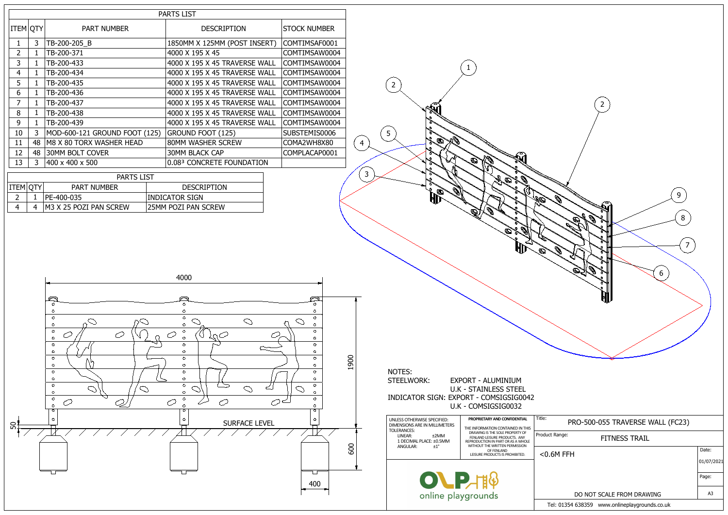|                 |                    |                                                                                                                                                                                                                                        | <b>PARTS LIST</b>   |  |  |  |  |  |
|-----------------|--------------------|----------------------------------------------------------------------------------------------------------------------------------------------------------------------------------------------------------------------------------------|---------------------|--|--|--|--|--|
| <b>ITEM QTY</b> | <b>PART NUMBER</b> | <b>DESCRIPTION</b>                                                                                                                                                                                                                     | <b>STOCK NUMBER</b> |  |  |  |  |  |
| 3               |                    | 1850MM X 125MM (POST INSERT)                                                                                                                                                                                                           | COMTIMSAF0001       |  |  |  |  |  |
| $\mathbf{1}$    |                    | 4000 X 195 X 45                                                                                                                                                                                                                        | COMTIMSAW0004       |  |  |  |  |  |
| 1               |                    | 4000 X 195 X 45 TRAVERSE WALL                                                                                                                                                                                                          | COMTIMSAW0004       |  |  |  |  |  |
| 1               |                    | 4000 X 195 X 45 TRAVERSE WALL                                                                                                                                                                                                          | COMTIMSAW0004       |  |  |  |  |  |
| 1               |                    | 4000 X 195 X 45 TRAVERSE WALL                                                                                                                                                                                                          | COMTIMSAW0004       |  |  |  |  |  |
| 1               |                    | 4000 X 195 X 45 TRAVERSE WALL                                                                                                                                                                                                          | COMTIMSAW0004       |  |  |  |  |  |
| 1               |                    | 4000 X 195 X 45 TRAVERSE WALL                                                                                                                                                                                                          | COMTIMSAW0004       |  |  |  |  |  |
| 1               |                    | 4000 X 195 X 45 TRAVERSE WALL                                                                                                                                                                                                          | COMTIMSAW0004       |  |  |  |  |  |
| $\mathbf{1}$    |                    | 4000 X 195 X 45 TRAVERSE WALL                                                                                                                                                                                                          | COMTIMSAW0004       |  |  |  |  |  |
| 3               |                    | GROUND FOOT (125)                                                                                                                                                                                                                      | SUBSTEMIS0006       |  |  |  |  |  |
| 48              |                    | 80MM WASHER SCREW                                                                                                                                                                                                                      | COMA2WH8X80         |  |  |  |  |  |
| 48              |                    | <b>30MM BLACK CAP</b>                                                                                                                                                                                                                  | COMPLACAP0001       |  |  |  |  |  |
| 3               |                    | 0.083 CONCRETE FOUNDATION                                                                                                                                                                                                              |                     |  |  |  |  |  |
|                 |                    | TB-200-205 B<br>TB-200-371<br>TB-200-433<br>TB-200-434<br>TB-200-435<br>TB-200-436<br>TB-200-437<br>TB-200-438<br>TB-200-439<br>MOD-600-121 GROUND FOOT (125)<br>M8 X 80 TORX WASHER HEAD<br><b>30MM BOLT COVER</b><br>400 x 400 x 500 |                     |  |  |  |  |  |

|                      | <b>PARTS LIST</b> |                               |                            |
|----------------------|-------------------|-------------------------------|----------------------------|
| $ $ ITEM $ $ QTY $ $ |                   | <b>PART NUMBER</b>            | <b>DESCRIPTION</b>         |
|                      |                   | $ PE-400-035 $                | <b>INDICATOR SIGN</b>      |
|                      | 4                 | <b>M3 X 25 POZI PAN SCREW</b> | <b>25MM POZI PAN SCREW</b> |

| $\overline{\mathbf{c}}$<br>9<br>i.<br>V<br>S)<br>⋶<br>o<br>Ĵ.<br>J.<br>ó<br>8<br>$\bigotimes$<br>õ<br>ø<br>o<br>ó<br>$\mathcal{Q}$<br>7<br>Q<br>J. R<br>$\bigcirc$<br>o,<br>ó<br>$\mathcal{Q}$<br><b>Contract Contract Contract Contract Contract Contract Contract Contract Contract Contract Contract Contract C</b><br>Q<br>$\mathbb{Q}^*_{\epsilon}$<br>6<br>$\delta$<br>o,<br>o<br>ø |                |
|-------------------------------------------------------------------------------------------------------------------------------------------------------------------------------------------------------------------------------------------------------------------------------------------------------------------------------------------------------------------------------------------|----------------|
| Title:<br>PRO-500-055 TRAVERSE WALL (FC23)                                                                                                                                                                                                                                                                                                                                                |                |
| Product Range:<br><b>FITNESS TRAIL</b>                                                                                                                                                                                                                                                                                                                                                    |                |
| $<$ 0.6M FFH                                                                                                                                                                                                                                                                                                                                                                              | Date:          |
|                                                                                                                                                                                                                                                                                                                                                                                           | 01/07/2021     |
|                                                                                                                                                                                                                                                                                                                                                                                           | Page:          |
| DO NOT SCALE FROM DRAWING                                                                                                                                                                                                                                                                                                                                                                 | A <sub>3</sub> |
| Tel: 01354 638359 www.onlineplaygrounds.co.uk                                                                                                                                                                                                                                                                                                                                             |                |

| PROPRIETARY AND CONFIDENTIAL                                                                                                                                                                                                                                                                                                                                                                   |
|------------------------------------------------------------------------------------------------------------------------------------------------------------------------------------------------------------------------------------------------------------------------------------------------------------------------------------------------------------------------------------------------|
| UNLESS OTHERWISE SPECIFIED:<br>DIMENSIONS ARE IN MILLIMETERS<br>THE INFORMATION CONTAINED IN THIS<br>TOLERANCES:<br>DRAWING IS THE SOLE PROPERTY OF<br><b>IINFAR:</b><br>+2MM<br>FENLAND LEISURE PRODUCTS. ANY<br>1 DECIMAL PLACE: ±0.5MM<br>REPRODUCTION IN PART OR AS A WHOLE<br>WITHOUT THE WRITTEN PERMISSION<br>$+1^{\circ}$<br>ANGULAR:<br>OF FENLAND<br>LEISURE PRODUCTS IS PROHIBITED. |

1



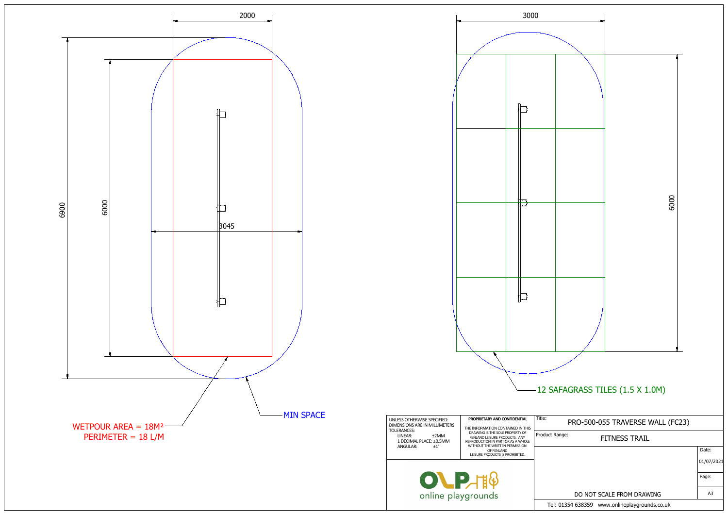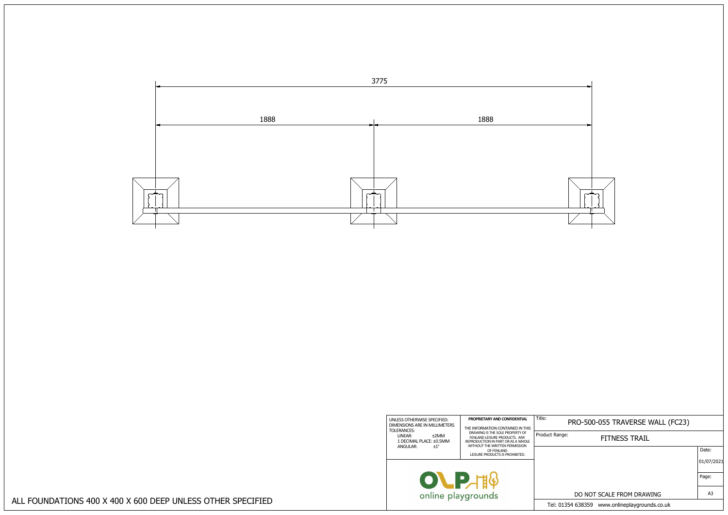## PRO-500-055 TRAVERSE WALL (FC23)

| ct Range: | <b>FITNESS TRAIL</b>                          |            |
|-----------|-----------------------------------------------|------------|
|           |                                               | Date:      |
|           |                                               | 01/07/2021 |
|           |                                               | Page:      |
|           | DO NOT SCALE FROM DRAWING                     | A3         |
|           | Fel: 01354 638359 www.onlineplaygrounds.co.uk |            |

| UNLESS OTHERWISE SPECIFIED:<br>DIMENSIONS ARE IN MILLIMETERS<br>TOLERANCES:<br>LINEAR:<br>±2MM<br>1 DECIMAL PLACE: ±0.5MM<br>$+1^{\circ}$<br>ANGULAR: | PROPRIETARY AND CONFIDENTIAL<br>THE INFORMATION CONTAINED IN THIS<br>DRAWING IS THE SOLE PROPERTY OF<br>FENLAND LEISURE PRODUCTS. ANY<br>REPRODUCTION IN PART OR AS A WHOLE<br>WITHOUT THE WRITTEN PERMISSION<br>OF FENLAND<br>LEISURE PRODUCTS IS PROHIBITED. | Title:<br>Product Range: |
|-------------------------------------------------------------------------------------------------------------------------------------------------------|----------------------------------------------------------------------------------------------------------------------------------------------------------------------------------------------------------------------------------------------------------------|--------------------------|
| online playgrounds                                                                                                                                    | $\blacksquare$                                                                                                                                                                                                                                                 | Tel: 013!                |

ALL FOUNDATIONS 400 X 400 X 600 DEEP UNLESS OTHER SPECIFIED